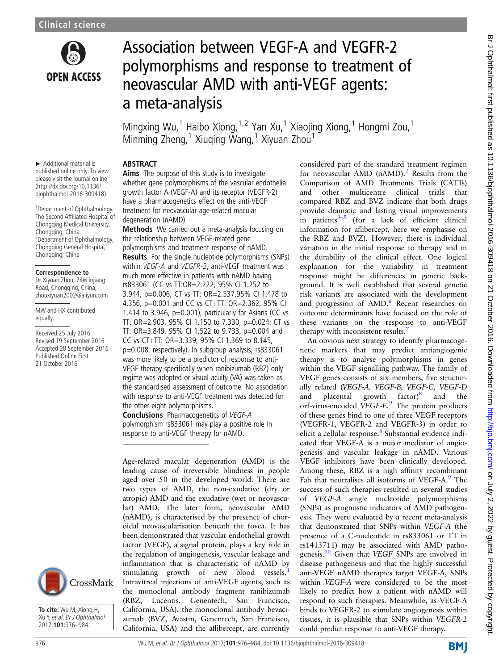

# Association between VEGF-A and VEGFR-2 polymorphisms and response to treatment of neovascular AMD with anti-VEGF agents: a meta-analysis

Mingxing Wu,<sup>1</sup> Haibo Xiong, <sup>1,2</sup> Yan Xu,<sup>1</sup> Xiaojing Xiong, <sup>1</sup> Hongmi Zou,<sup>1</sup> Minming Zheng,<sup>1</sup> Xiuqing Wang,<sup>1</sup> Xiyuan Zhou<sup>1</sup>

► Additional material is published online only. To view please visit the journal online (http://dx.doi.org/10.1136/ bjophthalmol-2016-309418).

1 Department of Ophthalmology, The Second Affiliated Hospital of Chongqing Medical University, Chongqing, China 2 Department of Ophthalmology, Chongqing General Hospital, Chongqing, China

#### **Correspondence to**

Dr Xiyuan Zhou, 74#Linjiang Road, Chongqing, China; zhouxiyuan2002@aliyun.com

MW and HX contributed equally.

Received 25 July 2016 Revised 19 September 2016 Accepted 28 September 2016 Published Online First 21 October 2016



**To cite:** Wu M, Xiong H, Xu Y, et al. Br J Ophthalmol 2017;**101**:976–984.

ABSTRACT Aims The purpose of this study is to investigate whether gene polymorphisms of the vascular endothelial growth factor A (VEGF-A) and its receptor (VEGFR-2) have a pharmacogenetics effect on the anti-VEGF treatment for neovascular age-related macular degeneration (nAMD).

Methods We carried out a meta-analysis focusing on the relationship between VEGF-related gene polymorphisms and treatment response of nAMD. Results For the single nucleotide polymorphisms (SNPs) within VEGF-A and VEGFR-2, anti-VEGF treatment was much more effective in patients with nAMD having rs833061 (CC vs TT:OR=2.222, 95% CI 1.252 to 3.944, p=0.006; CT vs TT: OR=2.537,95% CI 1.478 to 4.356, p=0.001 and CC vs CT+TT: OR=2.362, 95% CI 1.414 to 3.946,  $p=0.001$ ), particularly for Asians (CC vs TT: OR=2.903, 95% CI 1.150 to 7.330, p=0.024; CT vs TT: OR=3.849, 95% CI 1.522 to 9.733, p=0.004 and

CC vs CT+TT: OR=3.339, 95% CI 1.369 to 8.145, p=0.008, respectively). In subgroup analysis, rs833061 was more likely to be a predictor of response to anti-VEGF therapy specifically when ranibizumab (RBZ) only regime was adopted or visual acuity (VA) was taken as the standardised assessment of outcome. No association with response to anti-VEGF treatment was detected for the other eight polymorphisms.

Conclusions Pharmacogenetics of VEGF-A polymorphism rs833061 may play a positive role in response to anti-VEGF therapy for nAMD.

Age-related macular degeneration (AMD) is the leading cause of irreversible blindness in people aged over 50 in the developed world. There are two types of AMD, the non-exudative (dry or atropic) AMD and the exudative (wet or neovascular) AMD. The later form, neovascular AMD (nAMD), is characterised by the presence of choroidal neovascularisation beneath the fovea. It has been demonstrated that vascular endothelial growth factor (VEGF), a signal protein, plays a key role in the regulation of angiogenesis, vascular leakage and inflammation that is characteristic of nAMD by stimulating growth of new blood vessels.<sup>[1](#page-8-0)</sup> Intravitreal injections of anti-VEGF agents, such as the monoclonal antibody fragment ranibizumab (RBZ, Lucentis, Genentech, San Francisco, California, USA), the monoclonal antibody bevacizumab (BVZ, Avastin, Genentech, San Francisco, California, USA) and the aflibercept, are currently

considered part of the standard treatment regimen for neovascular AMD (nAMD).<sup>2</sup> Results from the Comparison of AMD Treatments Trials (CATTs) and other multicentre clinical trials that compared RBZ and BVZ indicate that both drugs provide dramatic and lasting visual improvements in patients $3-5$  $3-5$  (for a lack of efficient clinical information for aflibercept, here we emphasise on the RBZ and BVZ). However, there is individual variation in the initial response to therapy and in the durability of the clinical effect. One logical explanation for the variability in treatment response might be differences in genetic background. It is well established that several genetic risk variants are associated with the development and progression of AMD.<sup>6</sup> Recent researches on outcome determinants have focused on the role of these variants on the response to anti-VEGF therapy with inconsistent results.<sup>[7](#page-8-0)</sup>

An obvious next strategy to identify pharmacogenetic markers that may predict antiangiogenic therapy is to analyse polymorphisms in genes within the VEGF signalling pathway. The family of VEGF genes consists of six members, five structurally related (VEGF-A, VEGF-B, VEGF-C, VEGF-D and placental growth factor)<sup>[8](#page-8-0)</sup> and the orf-virus-encoded VEGF-E.<sup>[9](#page-8-0)</sup> The protein products of these genes bind to one of three VEGF receptors (VEGFR-1, VEGFR-2 and VEGFR-3) in order to elicit a cellular response.<sup>[8](#page-8-0)</sup> Substantial evidence indicated that VEGF-A is a major mediator of angiogenesis and vascular leakage in nAMD. Various VEGF inhibitors have been clinically developed. Among these, RBZ is a high affinity recombinant Fab that neutralises all isoforms of VEGF-A.<sup>[9](#page-8-0)</sup> The success of such therapies resulted in several studies of VEGF-A single nucleotide polymorphisms (SNPs) as prognostic indicators of AMD pathogenesis. They were evaluated by a recent meta-analysis that demonstrated that SNPs within VEGF-A (the presence of a C-nucleotide in rs833061 or TT in rs1413711) may be associated with AMD pathogenesis.<sup>10</sup> Given that VEGF SNPs are involved in disease pathogenesis and that the highly successful anti-VEGF nAMD therapies target VEGF-A, SNPs within VEGF-A were considered to be the most likely to predict how a patient with nAMD will respond to such therapies. Meanwhile, as VEGF-A binds to VEGFR-2 to stimulate angiogenesis within tissues, it is plausible that SNPs within VEGFR-2 could predict response to anti-VEGF therapy.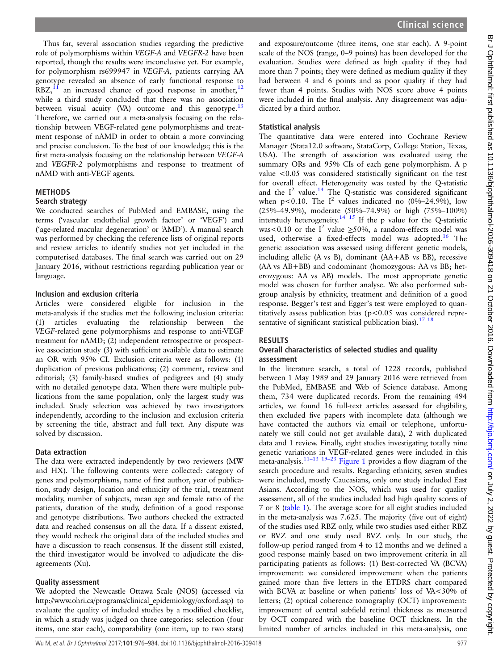Thus far, several association studies regarding the predictive role of polymorphisms within VEGF-A and VEGFR-2 have been reported, though the results were inconclusive yet. For example, for polymorphism rs699947 in VEGF-A, patients carrying AA genotype revealed an absence of early functional response to  $RBZ$ <sup>11</sup> an increased chance of good response in another,<sup>[12](#page-8-0)</sup> while a third study concluded that there was no association between visual acuity (VA) outcome and this genotype. $13$ Therefore, we carried out a meta-analysis focusing on the relationship between VEGF-related gene polymorphisms and treatment response of nAMD in order to obtain a more convincing and precise conclusion. To the best of our knowledge; this is the first meta-analysis focusing on the relationship between VEGF-A and VEGFR-2 polymorphisms and response to treatment of nAMD with anti-VEGF agents.

## METHODS

# Search strategy

We conducted searches of PubMed and EMBASE, using the terms ('vascular endothelial growth factor' or 'VEGF') and ('age-related macular degeneration' or 'AMD'). A manual search was performed by checking the reference lists of original reports and review articles to identify studies not yet included in the computerised databases. The final search was carried out on 29 January 2016, without restrictions regarding publication year or language.

#### Inclusion and exclusion criteria

Articles were considered eligible for inclusion in the meta-analysis if the studies met the following inclusion criteria: (1) articles evaluating the relationship between the VEGF-related gene polymorphisms and response to anti-VEGF treatment for nAMD; (2) independent retrospective or prospective association study (3) with sufficient available data to estimate an OR with 95% CI. Exclusion criteria were as follows: (1) duplication of previous publications; (2) comment, review and editorial; (3) family-based studies of pedigrees and (4) study with no detailed genotype data. When there were multiple publications from the same population, only the largest study was included. Study selection was achieved by two investigators independently, according to the inclusion and exclusion criteria by screening the title, abstract and full text. Any dispute was solved by discussion.

## Data extraction

The data were extracted independently by two reviewers (MW and HX). The following contents were collected: category of genes and polymorphisms, name of first author, year of publication, study design, location and ethnicity of the trial, treatment modality, number of subjects, mean age and female ratio of the patients, duration of the study, definition of a good response and genotype distributions. Two authors checked the extracted data and reached consensus on all the data. If a dissent existed, they would recheck the original data of the included studies and have a discussion to reach consensus. If the dissent still existed, the third investigator would be involved to adjudicate the disagreements (Xu).

#### Quality assessment

We adopted the Newcastle Ottawa Scale (NOS) (accessed via [http://www.ohri.ca/programs/clinical\\_epidemiology/oxford.asp\)](http://www.ohri.ca/programs/clinical_epidemiology/oxford.asp) to evaluate the quality of included studies by a modified checklist, in which a study was judged on three categories: selection (four items, one star each), comparability (one item, up to two stars)

and exposure/outcome (three items, one star each). A 9-point scale of the NOS (range, 0–9 points) has been developed for the evaluation. Studies were defined as high quality if they had more than 7 points; they were defined as medium quality if they had between 4 and 6 points and as poor quality if they had fewer than 4 points. Studies with NOS score above 4 points were included in the final analysis. Any disagreement was adjudicated by a third author.

## Statistical analysis

The quantitative data were entered into Cochrane Review Manager (Stata12.0 software, StataCorp, College Station, Texas, USA). The strength of association was evaluated using the summary ORs and 95% CIs of each gene polymorphism. A p value <0.05 was considered statistically significant on the test for overall effect. Heterogeneity was tested by the Q-statistic and the  $I^2$  value.<sup>[14](#page-8-0)</sup> The Q-statistic was considered significant when p<0.10. The  $I^2$  values indicated no (0%–24.9%), low (25%–49.9%), moderate (50%–74.9%) or high (75%–100%) interstudy heterogeneity.<sup>[14 15](#page-8-0)</sup> If the p value for the Q-statistic was<0.10 or the  $I^2$  value  $\geq$ 50%, a random-effects model was used, otherwise a fixed-effects model was adopted.<sup>[16](#page-8-0)</sup> The genetic association was assessed using different genetic models, including allelic (A vs B), dominant (AA+AB vs BB), recessive (AA vs AB+BB) and codominant (homozygous: AA vs BB; heterozygous: AA vs AB) models. The most appropriate genetic model was chosen for further analyse. We also performed subgroup analysis by ethnicity, treatment and definition of a good response. Begger's test and Egger's test were employed to quantitatively assess publication bias (p<0.05 was considered representative of significant statistical publication bias).<sup>17</sup>  $18$ 

#### RESULTS

## Overall characteristics of selected studies and quality assessment

In the literature search, a total of 1228 records, published between 1 May 1989 and 29 January 2016 were retrieved from the PubMed, EMBASE and Web of Science database. Among them, 734 were duplicated records. From the remaining 494 articles, we found 16 full-text articles assessed for eligibility, then excluded five papers with incomplete data (although we have contacted the authors via email or telephone, unfortunately we still could not get available data), 2 with duplicated data and 1 review. Finally, eight studies investigating totally nine genetic variations in VEGF-related genes were included in this meta-analysis.11–[13 19](#page-8-0)–<sup>23</sup> [Figure 1](#page-2-0) provides a flow diagram of the search procedure and results. Regarding ethnicity, seven studies were included, mostly Caucasians, only one study included East Asians. According to the NOS, which was used for quality assessment, all of the studies included had high quality scores of 7 or 8 [\(table 1](#page-2-0)). The average score for all eight studies included in the meta-analysis was 7.625. The majority (five out of eight) of the studies used RBZ only, while two studies used either RBZ or BVZ and one study used BVZ only. In our study, the follow-up period ranged from 4 to 12 months and we defined a good response mainly based on two improvement criteria in all participating patients as follows: (1) Best-corrected VA (BCVA) improvement: we considered improvement when the patients gained more than five letters in the ETDRS chart compared with BCVA at baseline or when patients' loss of VA<30% of letters; (2) optical coherence tomography (OCT) improvement: improvement of central subfield retinal thickness as measured by OCT compared with the baseline OCT thickness. In the limited number of articles included in this meta-analysis, one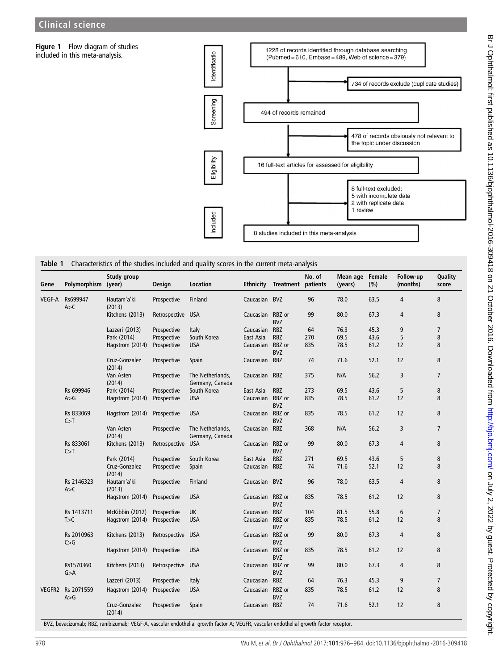<span id="page-2-0"></span>Figure 1 Flow diagram of studies included in this meta-analysis.



Table 1 Characteristics of the studies included and quality scores in the current meta-analysis

|               |                     | Study group             |                   |                                     |                  |                                     | No. of | Mean age Female |      | Follow-up      | Quality        |
|---------------|---------------------|-------------------------|-------------------|-------------------------------------|------------------|-------------------------------------|--------|-----------------|------|----------------|----------------|
| Gene          | Polymorphism (year) |                         | Design            | Location                            |                  | <b>Ethnicity Treatment patients</b> |        | (years)         | (% ) | (months)       | score          |
| VEGF-A        | Rs699947<br>A > C   | Hautam'a'ki<br>(2013)   | Prospective       | Finland                             | Caucasian BVZ    |                                     | 96     | 78.0            | 63.5 | $\overline{4}$ | 8              |
|               |                     | Kitchens (2013)         | Retrospective USA |                                     | Caucasian RBZ or | <b>BVZ</b>                          | 99     | 80.0            | 67.3 | 4              | 8              |
|               |                     | Lazzeri (2013)          | Prospective       | Italy                               | Caucasian        | <b>RBZ</b>                          | 64     | 76.3            | 45.3 | 9              | $\overline{7}$ |
|               |                     | Park (2014)             | Prospective       | South Korea                         | East Asia        | <b>RBZ</b>                          | 270    | 69.5            | 43.6 | 5              | 8              |
|               |                     | Hagstrom (2014)         | Prospective       | <b>USA</b>                          | Caucasian        | RBZ or<br>BVZ                       | 835    | 78.5            | 61.2 | 12             | 8              |
|               |                     | Cruz-Gonzalez<br>(2014) | Prospective       | Spain                               | Caucasian RBZ    |                                     | 74     | 71.6            | 52.1 | 12             | 8              |
|               |                     | Van Asten<br>(2014)     | Prospective       | The Netherlands,<br>Germany, Canada | Caucasian RBZ    |                                     | 375    | N/A             | 56.2 | 3              | $\overline{7}$ |
|               | Rs 699946           | Park (2014)             | Prospective       | South Korea                         | East Asia        | <b>RBZ</b>                          | 273    | 69.5            | 43.6 | 5              | 8              |
|               | A > G               | Hagstrom (2014)         | Prospective       | <b>USA</b>                          | Caucasian RBZ or | <b>BVZ</b>                          | 835    | 78.5            | 61.2 | 12             | 8              |
|               | Rs 833069<br>C > T  | Hagstrom (2014)         | Prospective       | <b>USA</b>                          | Caucasian RBZ or | <b>BVZ</b>                          | 835    | 78.5            | 61.2 | 12             | 8              |
|               |                     | Van Asten<br>(2014)     | Prospective       | The Netherlands,<br>Germany, Canada | Caucasian        | <b>RBZ</b>                          | 368    | N/A             | 56.2 | 3              | 7              |
|               | Rs 833061<br>C>T    | Kitchens (2013)         | Retrospective     | <b>USA</b>                          | Caucasian RBZ or | <b>BVZ</b>                          | 99     | 80.0            | 67.3 | 4              | 8              |
|               |                     | Park (2014)             | Prospective       | South Korea                         | East Asia        | <b>RBZ</b>                          | 271    | 69.5            | 43.6 | 5              | 8              |
|               |                     | Cruz-Gonzalez<br>(2014) | Prospective       | Spain                               | Caucasian RBZ    |                                     | 74     | 71.6            | 52.1 | 12             | 8              |
|               | Rs 2146323<br>A > C | Hautam'a'ki<br>(2013)   | Prospective       | Finland                             | Caucasian BVZ    |                                     | 96     | 78.0            | 63.5 | $\overline{4}$ | 8              |
|               |                     | Hagstrom (2014)         | Prospective       | <b>USA</b>                          | Caucasian RBZ or | <b>BVZ</b>                          | 835    | 78.5            | 61.2 | 12             | 8              |
|               | Rs 1413711          | McKibbin (2012)         | Prospective       | <b>UK</b>                           | Caucasian        | <b>RBZ</b>                          | 104    | 81.5            | 55.8 | 6              | 7              |
|               | T > C               | Hagstrom (2014)         | Prospective       | <b>USA</b>                          | Caucasian        | RBZ or<br><b>BVZ</b>                | 835    | 78.5            | 61.2 | 12             | 8              |
|               | Rs 2010963<br>C > G | Kitchens (2013)         | Retrospective USA |                                     | Caucasian RBZ or | <b>BVZ</b>                          | 99     | 80.0            | 67.3 | $\overline{4}$ | 8              |
|               |                     | Hagstrom (2014)         | Prospective       | <b>USA</b>                          | Caucasian        | RBZ or<br><b>BVZ</b>                | 835    | 78.5            | 61.2 | 12             | 8              |
|               | Rs1570360<br>G > A  | Kitchens (2013)         | Retrospective USA |                                     | Caucasian        | RBZ or<br><b>BVZ</b>                | 99     | 80.0            | 67.3 | 4              | 8              |
|               |                     | Lazzeri (2013)          | Prospective       | Italy                               | Caucasian        | <b>RBZ</b>                          | 64     | 76.3            | 45.3 | 9              | 7              |
| <b>VEGFR2</b> | Rs 2071559<br>A > G | Hagstrom (2014)         | Prospective       | <b>USA</b>                          | Caucasian        | RBZ or<br><b>BVZ</b>                | 835    | 78.5            | 61.2 | 12             | 8              |
|               |                     | Cruz-Gonzalez<br>(2014) | Prospective       | Spain                               | Caucasian RBZ    |                                     | 74     | 71.6            | 52.1 | 12             | 8              |

BVZ, bevacizumab; RBZ, ranibizumab; VEGF-A, vascular endothelial growth factor A; VEGFR, vascular endothelial growth factor receptor.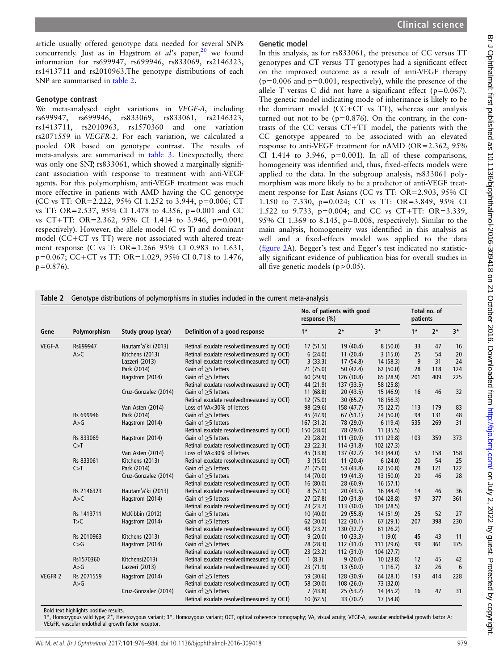<span id="page-3-0"></span>article usually offered genotype data needed for several SNPs concurrently. Just as in Hagstrom et  $al$ 's paper,<sup>[20](#page-8-0)</sup> we found information for rs699947, rs699946, rs833069, rs2146323, rs1413711 and rs2010963.The genotype distributions of each SNP are summarised in table 2.

## Genotype contrast

We meta-analysed eight variations in VEGF-A, including rs699947, rs699946, rs833069, rs833061, rs2146323, rs1413711, rs2010963, rs1570360 and one variation rs2071559 in VEGFR-2. For each variation, we calculated a pooled OR based on genotype contrast. The results of meta-analysis are summarised in [table 3](#page-4-0). Unexpectedly, there was only one SNP, rs833061, which showed a marginally significant association with response to treatment with anti-VEGF agents. For this polymorphism, anti-VEGF treatment was much more effective in patients with AMD having the CC genotype (CC vs TT: OR=2.222, 95% CI 1.252 to 3.944, p=0.006; CT vs TT: OR=2.537, 95% CI 1.478 to 4.356, p=0.001 and CC vs CT+TT: OR=2.362, 95% CI 1.414 to 3.946, p=0.001, respectively). However, the allele model (C vs T) and dominant model (CC+CT vs TT) were not associated with altered treatment response (C vs T: OR=1.266 95% CI 0.983 to 1.631, p=0.067; CC+CT vs TT: OR=1.029, 95% CI 0.718 to 1.476,  $p=0.876$ ).

# Genetic model

In this analysis, as for rs833061, the presence of CC versus TT genotypes and CT versus TT genotypes had a significant effect on the improved outcome as a result of anti-VEGF therapy  $(p=0.006$  and  $p=0.001$ , respectively), while the presence of the allele T versus C did not have a significant effect (p=0.067). The genetic model indicating mode of inheritance is likely to be the dominant model (CC+CT vs TT), whereas our analysis turned out not to be  $(p=0.876)$ . On the contrary, in the contrasts of the CC versus CT+TT model, the patients with the CC genotype appeared to be associated with an elevated response to anti-VEGF treatment for nAMD (OR=2.362, 95% CI 1.414 to 3.946,  $p=0.001$ ). In all of these comparisons, homogeneity was identified and, thus, fixed-effects models were applied to the data. In the subgroup analysis, rs833061 polymorphism was more likely to be a predictor of anti-VEGF treatment response for East Asians (CC vs TT: OR=2.903, 95% CI 1.150 to 7.330, p=0.024; CT vs TT: OR=3.849, 95% CI 1.522 to 9.733, p=0.004; and CC vs CT+TT: OR=3.339, 95% CI 1.369 to 8.145, p=0.008, respectively). Similar to the main analysis, homogeneity was identified in this analysis as well and a fixed-effects model was applied to the data (fi[gure 2](#page-5-0)A). Begger's test and Egger's test indicated no statistically significant evidence of publication bias for overall studies in all five genetic models  $(p>0.05)$ .

|                |              | Study group (year)   |                                           | No. of patients with good<br>response (%) | Total no. of<br>patients |            |      |      |            |
|----------------|--------------|----------------------|-------------------------------------------|-------------------------------------------|--------------------------|------------|------|------|------------|
| Gene           | Polymorphism |                      | Definition of a good response             | $1*$                                      | $2*$                     | $3*$       | $1*$ | $2*$ | $3*$       |
| VEGF-A         | Rs699947     | Hautam'a'ki (2013)   | Retinal exudate resolved(measured by OCT) | 17(51.5)                                  | 19 (40.4)                | 8(50.0)    | 33   | 47   | 16         |
|                | A > C        | Kitchens (2013)      | Retinal exudate resolved(measured by OCT) | 6(24.0)                                   | 11(20.4)                 | 3(15.0)    | 25   | 54   | 20         |
|                |              | Lazzeri (2013)       | Retinal exudate resolved(measured by OCT) | 3(33.3)                                   | 17 (54.8)                | 14 (58.3)  | 9    | 31   | 24         |
|                |              | Park (2014)          | Gain of $\geq$ 5 letters                  | 21(75.0)                                  | 50 (42.4)                | 62 (50.0)  | 28   | 118  | 124        |
|                |              | Hagstrom (2014)      | Gain of $\geq$ 5 letters                  | 60 (29.9)                                 | 126 (30.8)               | 65 (28.9)  | 201  | 409  | 225        |
|                |              |                      | Retinal exudate resolved(measured by OCT) | 44 (21.9)                                 | 137 (33.5)               | 58 (25.8)  |      |      |            |
|                |              | Cruz-Gonzalez (2014) | Gain of $\geq$ 5 letters                  | 11(68.8)                                  | 20(43.5)                 | 15 (46.9)  | 16   | 46   | 32         |
|                |              |                      | Retinal exudate resolved(measured by OCT) | 12 (75.0)                                 | 30(65.2)                 | 18 (56.3)  |      |      |            |
|                |              | Van Asten (2014)     | Loss of VA<30% of letters                 | 98 (29.6)                                 | 158 (47.7)               | 75 (22.7)  | 113  | 179  | 83         |
|                | Rs 699946    | Park (2014)          | Gain of $\geq$ 5 letters                  | 45 (47.9)                                 | 67(51.1)                 | 24 (50.0)  | 94   | 131  | 48         |
|                | A > G        | Hagstrom (2014)      | Gain of $\geq$ 5 letters                  | 167(31.2)                                 | 78 (29.0)                | 6(19.4)    | 535  | 269  | 31         |
|                |              |                      | Retinal exudate resolved(measured by OCT) | 150 (28.0)                                | 78 (29.0)                | 11(35.5)   |      |      |            |
|                | Rs 833069    | Hagstrom (2014)      | Gain of $\geq$ 5 letters                  | 29 (28.2)                                 | 111 (30.9)               | 111 (29.8) | 103  | 359  | 373        |
|                | C > T        |                      | Retinal exudate resolved(measured by OCT) | 23(22.3)                                  | 114 (31.8)               | 102(27.3)  |      |      |            |
|                |              | Van Asten (2014)     | Loss of VA<30% of letters                 | 45 (13.8)                                 | 137 (42.2)               | 143 (44.0) | 52   | 158  | 158        |
|                | Rs 833061    | Kitchens (2013)      | Retinal exudate resolved(measured by OCT) | 3(15.0)                                   | 11(20.4)                 | 6(24.0)    | 20   | 54   | 25         |
|                | C > T        | Park (2014)          | Gain of $\geq$ 5 letters                  | 21(75.0)                                  | 53 (43.8)                | 62 (50.8)  | 28   | 121  | 122        |
|                |              | Cruz-Gonzalez (2014) | Gain of $\geq$ 5 letters                  | 14(70.0)                                  | 19(41.3)                 | 13(50.0)   | 20   | 46   | 28         |
|                |              |                      | Retinal exudate resolved(measured by OCT) | 16(80.0)                                  | 28 (60.9)                | 16(57.1)   |      |      |            |
|                | Rs 2146323   | Hautam'a'ki (2013)   | Retinal exudate resolved(measured by OCT) | 8(57.1)                                   | 20(43.5)                 | 16 (44.4)  | 14   | 46   | 36         |
|                | A > C        | Hagstrom (2014)      | Gain of $\geq$ 5 letters                  | 27(27.8)                                  | 120 (31.8)               | 104 (28.8) | 97   | 377  | 361        |
|                |              |                      | Retinal exudate resolved(measured by OCT) | 23(23.7)                                  | 113(30.0)                | 103(28.5)  |      |      |            |
|                | Rs 1413711   | McKibbin (2012)      | Gain of $\geq$ 5 letters                  | 10(40.0)                                  | 29 (55.8)                | 14 (51.9)  | 25   | 52   | 27         |
|                | T > C        | Hagstrom (2014)      | Gain of $\geq$ 5 letters                  | 62(30.0)                                  | 122(30.1)                | 67(29.1)   | 207  | 398  | 230        |
|                |              |                      | Retinal exudate resolved(measured by OCT) | 48 (23.2)                                 | 130 (32.7)               | 61(26.2)   |      |      |            |
|                | Rs 2010963   | Kitchens (2013)      | Retinal exudate resolved(measured by OCT) | 9(20.0)                                   | 10(23.3)                 | 1(9.0)     | 45   | 43   | 11         |
|                | C > G        | Hagstrom (2014)      | Gain of $\geq$ 5 letters                  | 28 (28.3)                                 | 112(31.0)                | 111 (29.6) | 99   | 361  | 375        |
|                |              |                      | Retinal exudate resolved(measured by OCT) | 23(23.2)                                  | 112(31.0)                | 104(27.7)  |      |      |            |
|                | Rs1570360    | Kitchens(2013)       | Retinal exudate resolved(measured by OCT) | 1(8.3)                                    | 9(20.0)                  | 10(23.8)   | 12   | 45   | 42         |
|                | A>G          | Lazzeri (2013)       | Retinal exudate resolved(measured by OCT) | 23 (71.9)                                 | 13(50.0)                 | 1(16.7)    | 32   | 26   | $\epsilon$ |
| <b>VEGFR 2</b> | Rs 2071559   | Hagstrom (2014)      | Gain of $>5$ letters                      | 59 (30.6)                                 | 128 (30.9)               | 64 (28.1)  | 193  | 414  | 228        |
|                | A > G        |                      | Retinal exudate resolved(measured by OCT) | 58 (30.0)                                 | 108(26.0)                | 73 (32.0)  |      |      |            |
|                |              | Cruz-Gonzalez (2014) | Gain of $\geq$ 5 letters                  | 7(43.8)                                   | 25(53.2)                 | 14 (45.2)  | 16   | 47   | 31         |
|                |              |                      |                                           |                                           |                          |            |      |      |            |

Bold text highlights positive results.

1\*, Homozygous wild type; 2\*, Heterozygous variant; 3\*, Homozygous variant; OCT, optical coherence tomography; VA, visual acuity; VEGF-A, vascular endothelial growth factor A; VEGFR, vascular endothelial growth factor receptor.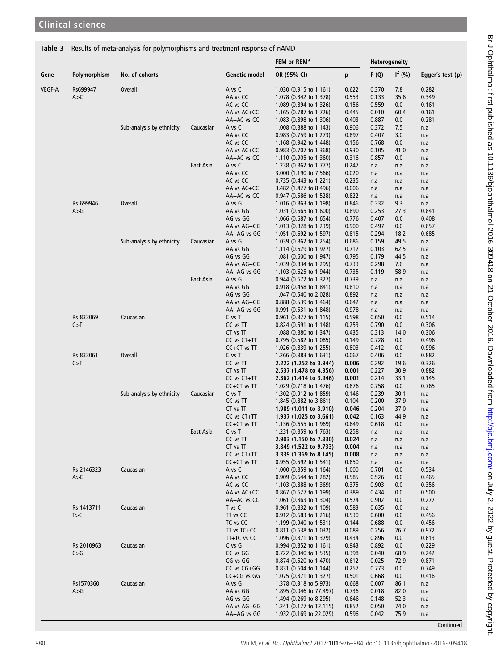# <span id="page-4-0"></span>Table 3 Results of meta-analysis for polymorphisms and treatment response of nAMD

|               |              |                           |           |                       | FEM or REM*                                      | <b>Heterogeneity</b> |                |              |                  |
|---------------|--------------|---------------------------|-----------|-----------------------|--------------------------------------------------|----------------------|----------------|--------------|------------------|
| Gene          | Polymorphism | No. of cohorts            |           | <b>Genetic model</b>  | OR (95% CI)                                      | p                    | P(Q)           | $I^2$ (%)    | Egger's test (p) |
| <b>VEGF-A</b> | Rs699947     | <b>Overall</b>            |           | A vs C                | 1.030 (0.915 to 1.161)                           | 0.622                | 0.370          | 7.8          | 0.282            |
|               | A > C        |                           |           | AA vs CC              | 1.078 (0.842 to 1.378)                           | 0.553                | 0.133          | 35.6         | 0.349            |
|               |              |                           |           | AC vs CC              | 1.089 (0.894 to 1.326)                           | 0.156                | 0.559          | 0.0          | 0.161            |
|               |              |                           |           | AA vs AC+CC           | 1.165 (0.787 to 1.726)                           | 0.445                | 0.010          | 60.4         | 0.161            |
|               |              |                           |           | AA+AC vs CC           | 1.083 (0.898 to 1.306)                           | 0.403                | 0.887          | 0.0          | 0.281            |
|               |              | Sub-analysis by ethnicity | Caucasian | A vs C                | 1.008 (0.888 to 1.143)                           | 0.906                | 0.372          | 7.5          | n.a              |
|               |              |                           |           | AA vs CC              | 0.983 (0.759 to 1.273)                           | 0.897                | 0.407          | 3.0          | n.a              |
|               |              |                           |           | AC vs CC              | 1.168 (0.942 to 1.448)                           | 0.156                | 0.768          | 0.0          | n.a              |
|               |              |                           |           | AA vs AC+CC           | 0.983 (0.707 to 1.368)                           | 0.930                | 0.105          | 41.0         | n.a              |
|               |              |                           |           | AA+AC vs CC           | 1.110 (0.905 to 1.360)                           | 0.316                | 0.857          | 0.0          | n.a              |
|               |              |                           | East Asia | A vs C                | 1.238 (0.862 to 1.777)                           | 0.247                | n.a            | n.a          | n.a              |
|               |              |                           |           | AA vs CC              | 3.000 (1.190 to 7.566)                           | 0.020                | n.a            | n.a          | n.a              |
|               |              |                           |           | AC vs CC              | 0.735 (0.443 to 1.221)                           | 0.235                | n.a            | n.a          | n.a              |
|               |              |                           |           | AA vs AC+CC           | 3.482 (1.427 to 8.496)                           | 0.006                | n.a            | n.a          | n.a              |
|               |              |                           |           | AA+AC vs CC           | 0.947 (0.586 to 1.528)                           | 0.822                | n.a            | n.a          | n.a              |
|               | Rs 699946    | <b>Overall</b>            |           | A vs G                | 1.016 (0.863 to 1.198)                           | 0.846                | 0.332          | 9.3          | n.a              |
|               | A > G        |                           |           | AA vs GG              | 1.031 (0.665 to 1.600)                           | 0.890                | 0.253          | 27.3         | 0.841            |
|               |              |                           |           | AG vs GG              | 1.066 (0.687 to 1.654)                           | 0.776                | 0.407          | 0.0          | 0.408            |
|               |              |                           |           | AA vs AG+GG           | 1.013 (0.828 to 1.239)                           | 0.900                | 0.497          | 0.0          | 0.657            |
|               |              |                           |           | AA+AG vs GG           | 1.051 (0.692 to 1.597)                           | 0.815                | 0.294          | 18.2         | 0.685            |
|               |              | Sub-analysis by ethnicity | Caucasian | A vs G                | 1.039 (0.862 to 1.254)                           | 0.686                | 0.159          | 49.5         | n.a              |
|               |              |                           |           | AA vs GG              | 1.114 (0.629 to 1.927)                           | 0.712                | 0.103          | 62.5         | n.a              |
|               |              |                           |           | AG vs GG              | 1.081 (0.600 to 1.947)                           | 0.795                | 0.179          | 44.5         | n.a              |
|               |              |                           |           | AA vs AG+GG           | 1.039 (0.834 to 1.295)                           | 0.733                | 0.298          | 7.6          | n.a              |
|               |              |                           |           | AA+AG vs GG           | 1.103 (0.625 to 1.944)                           | 0.735                | 0.119          | 58.9         | n.a              |
|               |              |                           | East Asia | A vs G                | 0.944 (0.672 to 1.327)                           | 0.739                | n.a            | n.a          | n.a              |
|               |              |                           |           | AA vs GG              | 0.918 (0.458 to 1.841)                           | 0.810                | n.a            | n.a          | n.a              |
|               |              |                           |           | AG vs GG              | 1.047 (0.540 to 2.028)                           | 0.892                | n.a            | n.a          | n.a              |
|               |              |                           |           | AA vs AG+GG           | 0.888 (0.539 to 1.464)                           | 0.642                | n.a            | n.a          | n.a              |
|               |              |                           |           | AA+AG vs GG           | 0.991 (0.531 to 1.848)                           | 0.978                | n.a            | n.a          | n.a              |
|               | Rs 833069    | Caucasian                 |           | C vs T                | $0.961$ (0.827 to 1.115)                         | 0.598                | 0.650          | 0.0          | 0.514            |
|               | C > T        |                           |           | CC vs TT              | 0.824 (0.591 to 1.148)                           | 0.253                | 0.790          | 0.0          | 0.306            |
|               |              |                           |           | CT vs TT              | 1.088 (0.880 to 1.347)                           | 0.435                | 0.313          | 14.0         | 0.306            |
|               |              |                           |           | CC vs CT+TT           | 0.795 (0.582 to 1.085)                           | 0.149<br>0.803       | 0.728          | 0.0<br>0.0   | 0.496<br>0.996   |
|               | Rs 833061    | <b>Overall</b>            |           | CC+CT vs TT<br>C vs T | 1.026 (0.839 to 1.255)                           | 0.067                | 0.412<br>0.406 | 0.0          | 0.882            |
|               |              |                           |           |                       | 1.266 (0.983 to 1.631)                           |                      |                |              |                  |
|               | C > T        |                           |           | CC vs TT<br>CT vs TT  | 2.222 (1.252 to 3.944)                           | 0.006<br>0.001       | 0.292<br>0.227 | 19.6<br>30.9 | 0.326<br>0.882   |
|               |              |                           |           | CC vs CT+TT           | 2.537 (1.478 to 4.356)                           | 0.001                | 0.214          | 33.1         | 0.145            |
|               |              |                           |           | CC+CT vs TT           | 2.362 (1.414 to 3.946)<br>1.029 (0.718 to 1.476) | 0.876                | 0.758          | 0.0          | 0.765            |
|               |              | Sub-analysis by ethnicity | Caucasian | C vs T                | 1.302 (0.912 to 1.859)                           | 0.146                | 0.239          | 30.1         |                  |
|               |              |                           |           | CC vs TT              | 1.845 (0.882 to 3.861)                           | 0.104                | 0.200          | 37.9         | n.a<br>n.a       |
|               |              |                           |           | CT vs TT              | 1.989 (1.011 to 3.910)                           | 0.046                | 0.204          | 37.0         | n.a              |
|               |              |                           |           | CC vs CT+TT           | 1.937 (1.025 to 3.661)                           | 0.042                | 0.163          | 44.9         | n.a              |
|               |              |                           |           | CC+CT vs TT           | 1.136 $(0.655$ to 1.969)                         | 0.649                | 0.618          | 0.0          | n.a              |
|               |              |                           | East Asia | C vs T                | 1.231 (0.859 to 1.763)                           | 0.258                | n.a            | n.a          | n.a              |
|               |              |                           |           | CC vs TT              | 2.903 (1.150 to 7.330)                           | 0.024                | n.a            | n.a          | n.a              |
|               |              |                           |           | CT vs TT              | 3.849 (1.522 to 9.733)                           | 0.004                | n.a            | n.a          | n.a              |
|               |              |                           |           | CC vs CT+TT           | 3.339 (1.369 to 8.145)                           | 0.008                | n.a            | n.a          | n.a              |
|               |              |                           |           | CC+CT vs TT           | $0.955$ (0.592 to 1.541)                         | 0.850                | n.a            | n.a          | n.a              |
|               | Rs 2146323   | Caucasian                 |           | A vs C                | 1.000 (0.859 to 1.164)                           | 1.000                | 0.701          | 0.0          | 0.534            |
|               | A > C        |                           |           | AA vs CC              | 0.909 (0.644 to 1.282)                           | 0.585                | 0.526          | 0.0          | 0.465            |
|               |              |                           |           | AC vs CC              | 1.103 (0.888 to 1.369)                           | 0.375                | 0.903          | 0.0          | 0.356            |
|               |              |                           |           | AA vs AC+CC           | $0.867$ (0.627 to 1.199)                         | 0.389                | 0.434          | 0.0          | 0.500            |
|               |              |                           |           | AA+AC vs CC           | 1.061 (0.863 to 1.304)                           | 0.574                | 0.902          | 0.0          | 0.277            |
|               | Rs 1413711   | Caucasian                 |           | T vs C                | 0.961 (0.832 to 1.109)                           | 0.583                | 0.635          | 0.0          | n.a              |
|               | T>C          |                           |           | TT vs CC              | 0.912 (0.683 to 1.216)                           | 0.530                | 0.600          | 0.0          | 0.456            |
|               |              |                           |           | TC vs CC              | 1.199 (0.940 to 1.531)                           | 0.144                | 0.688          | 0.0          | 0.456            |
|               |              |                           |           | TT vs TC+CC           | $0.811$ (0.638 to 1.032)                         | 0.089                | 0.256          | 26.7         | 0.972            |
|               |              |                           |           | TT+TC vs CC           | 1.096 (0.871 to 1.379)                           | 0.434                | 0.896          | 0.0          | 0.613            |
|               | Rs 2010963   | Caucasian                 |           | C vs G                | 0.994 (0.852 to 1.161)                           | 0.943                | 0.892          | 0.0          | 0.229            |
|               | C > G        |                           |           | CC vs GG              | 0.722 (0.340 to 1.535)                           | 0.398                | 0.040          | 68.9         | 0.242            |
|               |              |                           |           | CG vs GG              | 0.874 (0.520 to 1.470)                           | 0.612                | 0.025          | 72.9         | 0.871            |
|               |              |                           |           | CC vs CG+GG           | 0.831 (0.604 to 1.144)                           | 0.257                | 0.773          | 0.0          | 0.749            |
|               |              |                           |           | CC+CG vs GG           | 1.075 (0.871 to 1.327)                           | 0.501                | 0.668          | 0.0          | 0.416            |
|               | Rs1570360    | Caucasian                 |           | A vs G                | 1.378 (0.318 to 5.973)                           | 0.668                | 0.007          | 86.1         | n.a              |
|               | A > G        |                           |           | AA vs GG              | 1.895 (0.046 to 77.497)                          | 0.736                | 0.018          | 82.0         | n.a              |
|               |              |                           |           | AG vs GG              | 1.494 (0.269 to 8.295)                           | 0.646                | 0.148          | 52.3         | n.a              |
|               |              |                           |           |                       |                                                  |                      |                |              |                  |
|               |              |                           |           | AA vs AG+GG           | 1.241 (0.127 to 12.115)                          | 0.852                | 0.050          | 74.0         | n.a              |
|               |              |                           |           | AA+AG vs GG           | 1.932 (0.169 to 22.029)                          | 0.596                | 0.042          | 75.9         | n.a              |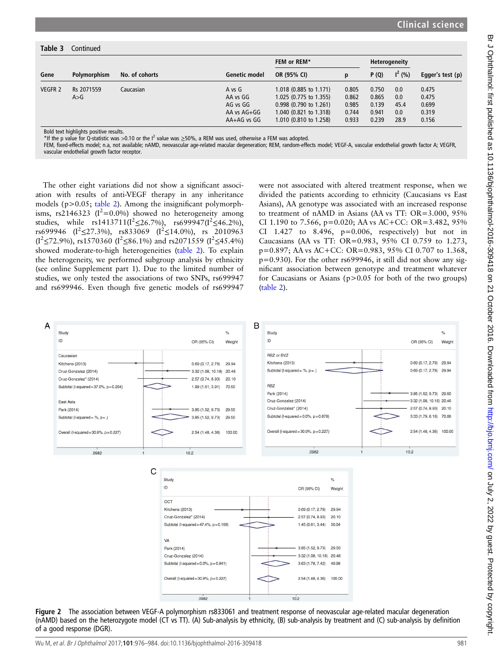<span id="page-5-0"></span>

| Table 3        | Continued           |                |                                                              |                                                                                                                                  |                                           |                                           |                                   |                                           |
|----------------|---------------------|----------------|--------------------------------------------------------------|----------------------------------------------------------------------------------------------------------------------------------|-------------------------------------------|-------------------------------------------|-----------------------------------|-------------------------------------------|
| Gene           |                     | No. of cohorts |                                                              | FEM or REM*                                                                                                                      |                                           | Heterogeneity                             |                                   |                                           |
|                | Polymorphism        |                | Genetic model                                                | OR (95% CI)                                                                                                                      | p                                         | P(Q)                                      | $I^2(% )$                         | Egger's test (p)                          |
| <b>VEGFR 2</b> | Rs 2071559<br>A > G | Caucasian      | A vs G<br>AA vs GG<br>AG vs GG<br>AA vs AG+GG<br>AA+AG vs GG | 1.018 (0.885 to 1.171)<br>1.025 (0.775 to 1.355)<br>$0.998$ (0.790 to 1.261)<br>1.040 (0.821 to 1.318)<br>1.010 (0.810 to 1.258) | 0.805<br>0.862<br>0.985<br>0.744<br>0.933 | 0.750<br>0.865<br>0.139<br>0.941<br>0.239 | 0.0<br>0.0<br>45.4<br>0.0<br>28.9 | 0.475<br>0.475<br>0.699<br>0.319<br>0.156 |

Bold text highlights positive results.

\*If the p value for Q-statistic was >0.10 or the I<sup>2</sup> value was ≥50%, a REM was used, otherwise a FEM was adopted.

FEM, fixed-effects model; n.a, not available; nAMD, neovascular age-related macular degeneration; REM, random-effects model; VEGF-A, vascular endothelial growth factor A; VEGFR, vascular endothelial growth factor receptor.

The other eight variations did not show a significant association with results of anti-VEGF therapy in any inheritance models (p>0.05; [table 2\)](#page-3-0). Among the insignificant polymorphisms, rs2146323 ( $I^2$ =0.0%) showed no heterogeneity among studies, while rs1413711( $I^2 \le 26.7\%$ ), rs699947( $I^2 \le 46.2\%$ ), rs699946 ( $I^2 \le 27.3\%$ ), rs833069 ( $I^2 \le 14.0\%$ ), rs 2010963  $(I^2 \le 72.9\%)$ , rs1570360 ( $I^2 \le 86.1\%$ ) and rs2071559 ( $I^2 \le 45.4\%$ ) showed moderate-to-high heterogeneities ([table 2](#page-3-0)). To explain the heterogeneity, we performed subgroup analysis by ethnicity (see online [Supplement part 1\)](http://dx.doi.org/10.1136/bjophthalmol-2016-309418). Due to the limited number of studies, we only tested the associations of two SNPs, rs699947 and rs699946. Even though five genetic models of rs699947

were not associated with altered treatment response, when we divided the patients according to ethnicity (Caucasians vs East Asians), AA genotype was associated with an increased response to treatment of nAMD in Asians (AA vs TT: OR=3.000, 95% CI 1.190 to 7.566,  $p=0.020$ ; AA vs AC+CC: OR=3.482, 95% CI 1.427 to 8.496,  $p=0.006$ , respectively) but not in Caucasians (AA vs TT: OR=0.983, 95% CI 0.759 to 1.273, p=0.897; AA vs AC+CC: OR=0.983, 95% CI 0.707 to 1.368, p=0.930). For the other rs699946, it still did not show any significant association between genotype and treatment whatever for Caucasians or Asians  $(p>0.05$  for both of the two groups) ([table 2](#page-3-0)).



Figure 2 The association between VEGF-A polymorphism rs833061 and treatment response of neovascular age-related macular degeneration (nAMD) based on the heterozygote model (CT vs TT). (A) Sub-analysis by ethnicity, (B) sub-analysis by treatment and (C) sub-analysis by definition of a good response (DGR).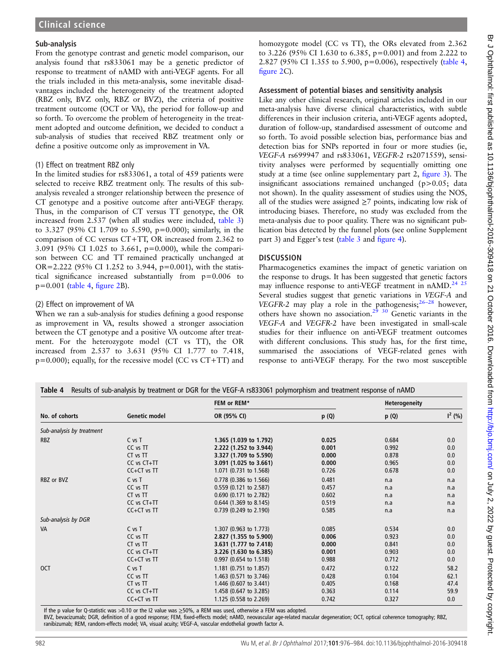## Sub-analysis

From the genotype contrast and genetic model comparison, our analysis found that rs833061 may be a genetic predictor of response to treatment of nAMD with anti-VEGF agents. For all the trials included in this meta-analysis, some inevitable disadvantages included the heterogeneity of the treatment adopted (RBZ only, BVZ only, RBZ or BVZ), the criteria of positive treatment outcome (OCT or VA), the period for follow-up and so forth. To overcome the problem of heterogeneity in the treatment adopted and outcome definition, we decided to conduct a sub-analysis of studies that received RBZ treatment only or define a positive outcome only as improvement in VA.

## (1) Effect on treatment RBZ only

In the limited studies for rs833061, a total of 459 patients were selected to receive RBZ treatment only. The results of this subanalysis revealed a stronger relationship between the presence of CT genotype and a positive outcome after anti-VEGF therapy. Thus, in the comparison of CT versus TT genotype, the OR increased from 2.537 (when all studies were included, [table 3\)](#page-4-0) to 3.327 (95% CI 1.709 to 5.590, p=0.000); similarly, in the comparison of CC versus CT+TT, OR increased from 2.362 to 3.091 (95% CI 1.025 to 3.661, p=0.000), while the comparison between CC and TT remained practically unchanged at OR=2.222 (95% CI 1.252 to 3.944, p=0.001), with the statistical significance increased substantially from p=0.006 to p=0.001 (table 4, fi[gure 2B](#page-5-0)).

# (2) Effect on improvement of VA

When we ran a sub-analysis for studies defining a good response as improvement in VA, results showed a stronger association between the CT genotype and a positive VA outcome after treatment. For the heterozygote model (CT vs TT), the OR increased from 2.537 to 3.631 (95% CI 1.777 to 7.418,  $p=0.000$ ); equally, for the recessive model (CC vs CT+TT) and homozygote model (CC vs TT), the ORs elevated from 2.362 to 3.226 (95% CI 1.630 to 6.385, p=0.001) and from 2.222 to 2.827 (95% CI 1.355 to 5.900, p=0.006), respectively (table 4, fi[gure 2C](#page-5-0)).

# Assessment of potential biases and sensitivity analysis

Like any other clinical research, original articles included in our meta-analysis have diverse clinical characteristics, with subtle differences in their inclusion criteria, anti-VEGF agents adopted, duration of follow-up, standardised assessment of outcome and so forth. To avoid possible selection bias, performance bias and detection bias for SNPs reported in four or more studies (ie, VEGF-A rs699947 and rs833061, VEGFR-2 rs2071559), sensitivity analyses were performed by sequentially omitting one study at a time (see online [supplementary part 2](http://dx.doi.org/10.1136/bjophthalmol-2016-309418), fi[gure 3\)](#page-7-0). The insignificant associations remained unchanged (p>0.05; data not shown). In the quality assessment of studies using the NOS, all of the studies were assigned  $\geq$ 7 points, indicating low risk of introducing biases. Therefore, no study was excluded from the meta-analysis due to poor quality. There was no significant publication bias detected by the funnel plots (see online [Supplement](http://dx.doi.org/10.1136/bjophthalmol-2016-309418) [part 3\)](http://dx.doi.org/10.1136/bjophthalmol-2016-309418) and Egger's test ([table 3](#page-4-0) and fi[gure 4](#page-7-0)).

# DISCUSSION

Pharmacogenetics examines the impact of genetic variation on the response to drugs. It has been suggested that genetic factors may influence response to anti-VEGF treatment in nAMD.<sup>[24 25](#page-8-0)</sup> Several studies suggest that genetic variations in VEGF-A and VEGFR-2 may play a role in the pathogenesis; $26-28$  however, others have shown no association.[29 30](#page-8-0) Genetic variants in the VEGF-A and VEGFR-2 have been investigated in small-scale studies for their influence on anti-VEGF treatment outcomes with different conclusions. This study has, for the first time, summarised the associations of VEGF-related genes with response to anti-VEGF therapy. For the two most susceptible

|                           |                      | FEM or REM*            | Heterogeneity |       |           |
|---------------------------|----------------------|------------------------|---------------|-------|-----------|
| No. of cohorts            | <b>Genetic model</b> | OR (95% CI)            | p (Q)         | p(Q)  | $I^2(% )$ |
| Sub-analysis by treatment |                      |                        |               |       |           |
| <b>RBZ</b>                | $C$ vs $T$           | 1.365 (1.039 to 1.792) | 0.025         | 0.684 | 0.0       |
|                           | CC vs TT             | 2.222 (1.252 to 3.944) | 0.001         | 0.992 | 0.0       |
|                           | CT vs TT             | 3.327 (1.709 to 5.590) | 0.000         | 0.878 | 0.0       |
|                           | $CC$ vs $CT+TT$      | 3.091 (1.025 to 3.661) | 0.000         | 0.965 | 0.0       |
|                           | $CC+CT$ vs TT        | 1.071 (0.731 to 1.568) | 0.726         | 0.678 | 0.0       |
| RBZ or BVZ                | $C$ vs $T$           | 0.778 (0.386 to 1.566) | 0.481         | n.a   | n.a       |
|                           | CC vs TT             | 0.559 (0.121 to 2.587) | 0.457         | n.a   | n.a       |
|                           | CT vs TT             | 0.690 (0.171 to 2.782) | 0.602         | n.a   | n.a       |
|                           | $CC$ vs $CT+TT$      | 0.644 (1.369 to 8.145) | 0.519         | n.a   | n.a       |
|                           | $CC+CT$ vs TT        | 0.739 (0.249 to 2.190) | 0.585         | n.a   | n.a       |
| Sub-analysis by DGR       |                      |                        |               |       |           |
| <b>VA</b>                 | $C$ vs $T$           | 1.307 (0.963 to 1.773) | 0.085         | 0.534 | 0.0       |
|                           | CC vs TT             | 2.827 (1.355 to 5.900) | 0.006         | 0.923 | 0.0       |
|                           | CT vs TT             | 3.631 (1.777 to 7.418) | 0.000         | 0.841 | 0.0       |
|                           | $CC$ vs $CT+TT$      | 3.226 (1.630 to 6.385) | 0.001         | 0.903 | 0.0       |
|                           | CC+CT vs TT          | 0.997 (0.654 to 1.518) | 0.988         | 0.712 | 0.0       |
| <b>OCT</b>                | C vs T               | 1.181 (0.751 to 1.857) | 0.472         | 0.122 | 58.2      |
|                           | CC vs TT             | 1.463 (0.571 to 3.746) | 0.428         | 0.104 | 62.1      |
|                           | CT vs TT             | 1.446 (0.607 to 3.441) | 0.405         | 0.168 | 47.4      |
|                           | $CC$ vs $CT+TT$      | 1.458 (0.647 to 3.285) | 0.363         | 0.114 | 59.9      |
|                           | $CC+CT$ vs $TT$      | 1.125 (0.558 to 2.269) | 0.742         | 0.327 | 0.0       |

If the p value for Q-statistic was >0.10 or the I2 value was ≥50%, a REM was used, otherwise a FEM was adopted.<br>BVZ, bevacizumab; DGR, definition of a good response; FEM, fixed-effects model; nAMD, neovascular age-related ranibizumab; REM, random-effects model; VA, visual acuity; VEGF-A, vascular endothelial growth factor A.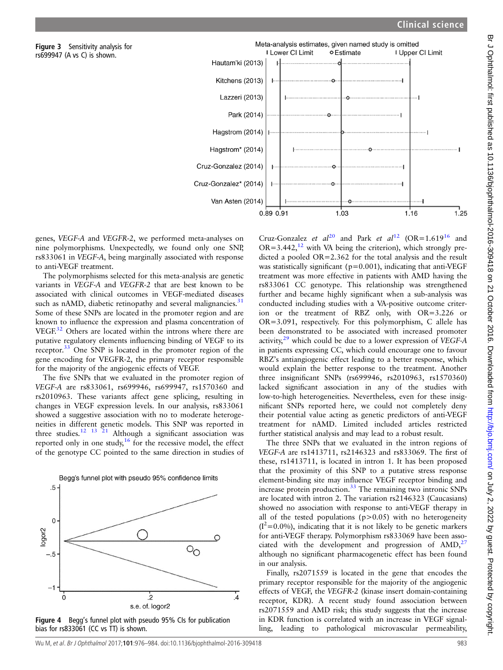

genes, VEGF-A and VEGFR-2, we performed meta-analyses on nine polymorphisms. Unexpectedly, we found only one SNP, rs833061 in VEGF-A, being marginally associated with response to anti-VEGF treatment.

<span id="page-7-0"></span>Figure 3 Sensitivity analysis for rs699947 (A vs C) is shown.

The polymorphisms selected for this meta-analysis are genetic variants in VEGF-A and VEGFR-2 that are best known to be associated with clinical outcomes in VEGF-mediated diseases such as nAMD, diabetic retinopathy and several malignancies. $31$ Some of these SNPs are located in the promoter region and are known to influence the expression and plasma concentration of VEGF.<sup>[32](#page-8-0)</sup> Others are located within the introns where there are putative regulatory elements influencing binding of VEGF to its receptor.<sup>[33](#page-8-0)</sup> One SNP is located in the promoter region of the gene encoding for VEGFR-2, the primary receptor responsible for the majority of the angiogenic effects of VEGF.

The five SNPs that we evaluated in the promoter region of VEGF-A are rs833061, rs699946, rs699947, rs1570360 and rs2010963. These variants affect gene splicing, resulting in changes in VEGF expression levels. In our analysis, rs833061 showed a suggestive association with no to moderate heterogeneities in different genetic models. This SNP was reported in three studies.<sup>12</sup> <sup>13</sup> <sup>21</sup> Although a significant association was reported only in one study, $16$  for the recessive model, the effect of the genotype CC pointed to the same direction in studies of



Figure 4 Begg's funnel plot with pseudo 95% CIs for publication bias for rs833061 (CC vs TT) is shown.

Cruz-Gonzalez et  $al^{20}$  $al^{20}$  $al^{20}$  and Park et  $al^{12}$  $al^{12}$  $al^{12}$  (OR=1.619<sup>[16](#page-8-0)</sup> and  $OR = 3.442$ , <sup>12</sup> with VA being the criterion), which strongly predicted a pooled OR=2.362 for the total analysis and the result was statistically significant ( $p=0.001$ ), indicating that anti-VEGF treatment was more effective in patients with AMD having the rs833061 CC genotype. This relationship was strengthened further and became highly significant when a sub-analysis was conducted including studies with a VA-positive outcome criterion or the treatment of RBZ only, with OR=3.226 or OR=3.091, respectively. For this polymorphism, C allele has been demonstrated to be associated with increased promoter activity, $29$  which could be due to a lower expression of VEGF-A in patients expressing CC, which could encourage one to favour RBZ's antiangiogenic effect leading to a better response, which would explain the better response to the treatment. Another three insignificant SNPs (rs699946, rs2010963, rs1570360) lacked significant association in any of the studies with low-to-high heterogeneities. Nevertheless, even for these insignificant SNPs reported here, we could not completely deny their potential value acting as genetic predictors of anti-VEGF treatment for nAMD. Limited included articles restricted further statistical analysis and may lead to a robust result.

The three SNPs that we evaluated in the intron regions of VEGF-A are rs1413711, rs2146323 and rs833069. The first of these, rs1413711, is located in intron 1. It has been proposed that the proximity of this SNP to a putative stress response element-binding site may influence VEGF receptor binding and increase protein production. $33$  The remaining two intronic SNPs are located with intron 2. The variation rs2146323 (Caucasians) showed no association with response to anti-VEGF therapy in all of the tested populations  $(p>0.05)$  with no heterogeneity  $(I^2=0.0\%)$ , indicating that it is not likely to be genetic markers for anti-VEGF therapy. Polymorphism rs833069 have been associated with the development and progression of  $\text{AMD},^{27}$  $\text{AMD},^{27}$  $\text{AMD},^{27}$ although no significant pharmacogenetic effect has been found in our analysis.

Finally, rs2071559 is located in the gene that encodes the primary receptor responsible for the majority of the angiogenic effects of VEGF, the VEGFR-2 (kinase insert domain-containing receptor, KDR). A recent study found association between rs2071559 and AMD risk; this study suggests that the increase in KDR function is correlated with an increase in VEGF signalling, leading to pathological microvascular permeability,